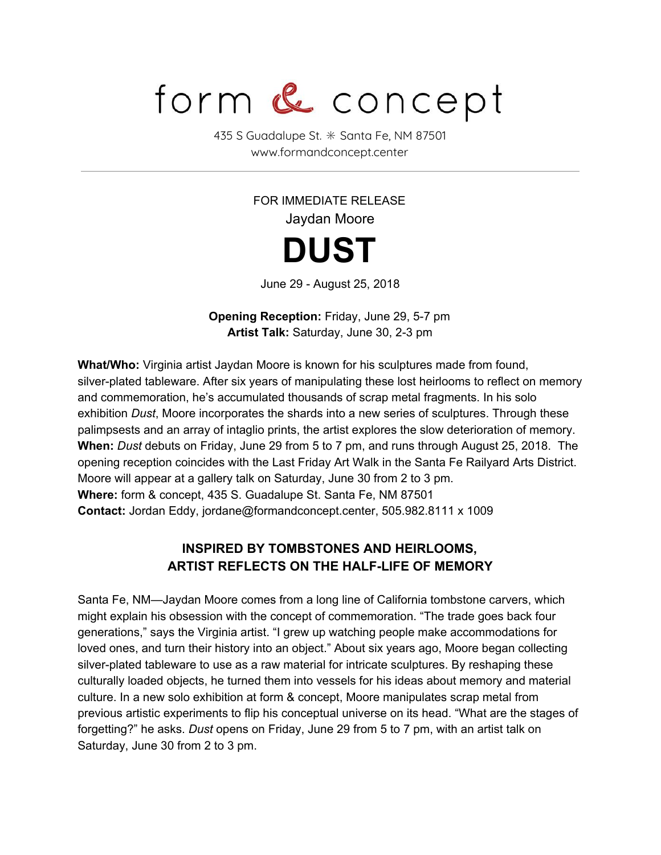## form & concept

435 S Guadalupe St. ✳ Santa Fe, NM 87501 www.formandconcept.center

> FOR IMMEDIATE RELEASE Jaydan Moore **DUST**

June 29 - August 25, 2018

**Opening Reception:** Friday, June 29, 5-7 pm **Artist Talk:** Saturday, June 30, 2-3 pm

**What/Who:** Virginia artist Jaydan Moore is known for his sculptures made from found, silver-plated tableware. After six years of manipulating these lost heirlooms to reflect on memory and commemoration, he's accumulated thousands of scrap metal fragments. In his solo exhibition *Dust*, Moore incorporates the shards into a new series of sculptures. Through these palimpsests and an array of intaglio prints, the artist explores the slow deterioration of memory. **When:** *Dust* debuts on Friday, June 29 from 5 to 7 pm, and runs through August 25, 2018. The opening reception coincides with the Last Friday Art Walk in the Santa Fe Railyard Arts District. Moore will appear at a gallery talk on Saturday, June 30 from 2 to 3 pm. **Where:** form & concept, 435 S. Guadalupe St. Santa Fe, NM 87501 **Contact:** Jordan Eddy, jordane@formandconcept.center, 505.982.8111 x 1009

## **INSPIRED BY TOMBSTONES AND HEIRLOOMS, ARTIST REFLECTS ON THE HALF-LIFE OF MEMORY**

Santa Fe, NM—Jaydan Moore comes from a long line of California tombstone carvers, which might explain his obsession with the concept of commemoration. "The trade goes back four generations," says the Virginia artist. "I grew up watching people make accommodations for loved ones, and turn their history into an object." About six years ago, Moore began collecting silver-plated tableware to use as a raw material for intricate sculptures. By reshaping these culturally loaded objects, he turned them into vessels for his ideas about memory and material culture. In a new solo exhibition at form & concept, Moore manipulates scrap metal from previous artistic experiments to flip his conceptual universe on its head. "What are the stages of forgetting?" he asks. *Dust* opens on Friday, June 29 from 5 to 7 pm, with an artist talk on Saturday, June 30 from 2 to 3 pm.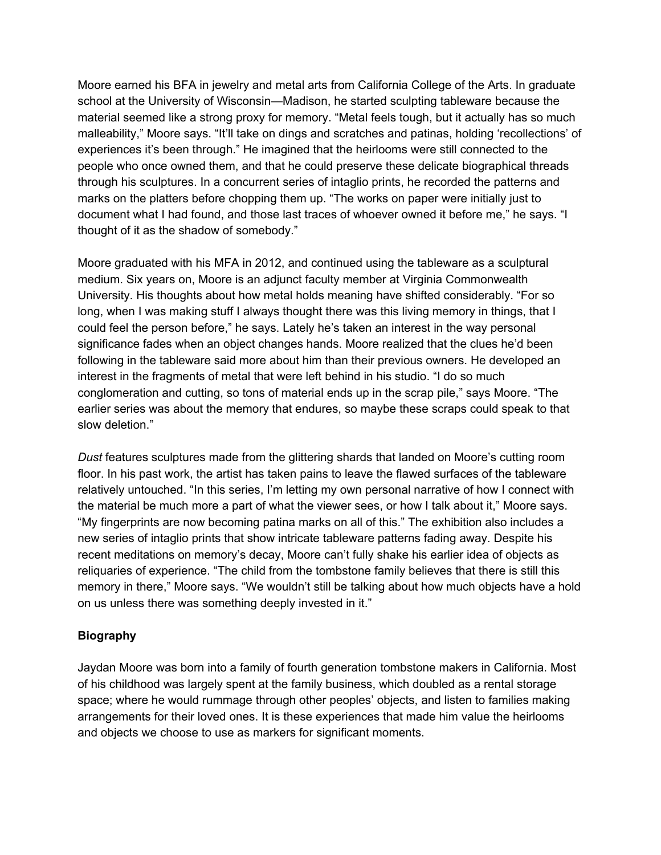Moore earned his BFA in jewelry and metal arts from California College of the Arts. In graduate school at the University of Wisconsin—Madison, he started sculpting tableware because the material seemed like a strong proxy for memory. "Metal feels tough, but it actually has so much malleability," Moore says. "It'll take on dings and scratches and patinas, holding 'recollections' of experiences it's been through." He imagined that the heirlooms were still connected to the people who once owned them, and that he could preserve these delicate biographical threads through his sculptures. In a concurrent series of intaglio prints, he recorded the patterns and marks on the platters before chopping them up. "The works on paper were initially just to document what I had found, and those last traces of whoever owned it before me," he says. "I thought of it as the shadow of somebody."

Moore graduated with his MFA in 2012, and continued using the tableware as a sculptural medium. Six years on, Moore is an adjunct faculty member at Virginia Commonwealth University. His thoughts about how metal holds meaning have shifted considerably. "For so long, when I was making stuff I always thought there was this living memory in things, that I could feel the person before," he says. Lately he's taken an interest in the way personal significance fades when an object changes hands. Moore realized that the clues he'd been following in the tableware said more about him than their previous owners. He developed an interest in the fragments of metal that were left behind in his studio. "I do so much conglomeration and cutting, so tons of material ends up in the scrap pile," says Moore. "The earlier series was about the memory that endures, so maybe these scraps could speak to that slow deletion."

*Dust* features sculptures made from the glittering shards that landed on Moore's cutting room floor. In his past work, the artist has taken pains to leave the flawed surfaces of the tableware relatively untouched. "In this series, I'm letting my own personal narrative of how I connect with the material be much more a part of what the viewer sees, or how I talk about it," Moore says. "My fingerprints are now becoming patina marks on all of this." The exhibition also includes a new series of intaglio prints that show intricate tableware patterns fading away. Despite his recent meditations on memory's decay, Moore can't fully shake his earlier idea of objects as reliquaries of experience. "The child from the tombstone family believes that there is still this memory in there," Moore says. "We wouldn't still be talking about how much objects have a hold on us unless there was something deeply invested in it."

## **Biography**

Jaydan Moore was born into a family of fourth generation tombstone makers in California. Most of his childhood was largely spent at the family business, which doubled as a rental storage space; where he would rummage through other peoples' objects, and listen to families making arrangements for their loved ones. It is these experiences that made him value the heirlooms and objects we choose to use as markers for significant moments.